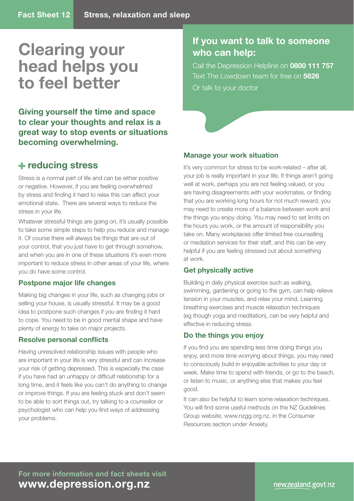# **Clearing your head helps you to feel better**

**Giving yourself the time and space to clear your thoughts and relax is a great way to stop events or situations becoming overwhelming.** 

## **reducing stress**

Stress is a normal part of life and can be either positive or negative. However, if you are feeling overwhelmed by stress and finding it hard to relax this can affect your emotional state. There are several ways to reduce the stress in your life.

Whatever stressful things are going on, it's usually possible to take some simple steps to help you reduce and manage it. Of course there will always be things that are out of your control, that you just have to get through somehow, and when you are in one of these situations it's even more important to reduce stress in other areas of your life, where you do have some control.

### **Postpone major life changes**

Making big changes in your life, such as changing jobs or selling your house, is usually stressful. It may be a good idea to postpone such changes if you are finding it hard to cope. You need to be in good mental shape and have plenty of energy to take on major projects.

#### **Resolve personal conflicts**

Having unresolved relationship issues with people who are important in your life is very stressful and can increase your risk of getting depressed. This is especially the case if you have had an unhappy or difficult relationship for a long time, and it feels like you can't do anything to change or improve things. If you are feeling stuck and don't seem to be able to sort things out, try talking to a counsellor or psychologist who can help you find ways of addressing your problems.

## **If you want to talk to someone who can help:**

Call the Depression Helpline on **0800 111 757** Text The Lowdown team for free on **5626** Or talk to your doctor

#### **Manage your work situation**

It's very common for stress to be work-related – after all, your job is really important in your life. If things aren't going well at work, perhaps you are not feeling valued, or you are having disagreements with your workmates, or finding that you are working long hours for not much reward, you may need to create more of a balance between work and the things you enjoy doing. You may need to set limits on the hours you work, or the amount of responsibility you take on. Many workplaces offer limited free counselling or mediation services for their staff, and this can be very helpful if you are feeling stressed out about something at work.

#### **Get physically active**

Building in daily physical exercise such as walking, swimming, gardening or going to the gym, can help relieve tension in your muscles, and relax your mind. Learning breathing exercises and muscle relaxation techniques (eg though yoga and meditation), can be very helpful and effective in reducing stress.

### **Do the things you enjoy**

If you find you are spending less time doing things you enjoy, and more time worrying about things, you may need to consciously build in enjoyable activities to your day or week. Make time to spend with friends, or go to the beach, or listen to music, or anything else that makes you feel good.

It can also be helpful to learn some relaxation techniques. You will find some useful methods on the NZ Guidelines Group website, www.nzgg.org.nz, in the Consumer Resources section under Anxiety.